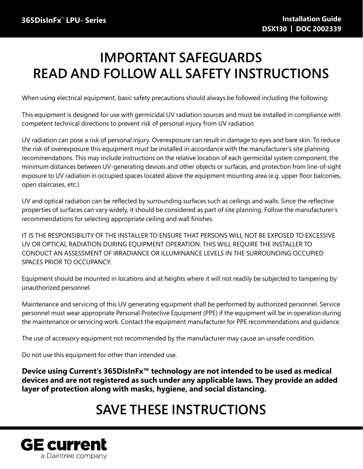# **IMPORTANT SAFEGUARDS READ AND FOLLOW ALL SAFETY INSTRUCTIONS**

When using electrical equipment, basic safety precautions should always be followed including the following:

This equipment is designed for use with germicidal UV radiation sources and must be installed in compliance with competent technical directions to prevent risk of personal injury from UV radiation.

UV radiation can pose a risk of personal injury. Overexposure can result in damage to eyes and bare skin. To reduce the risk of overexposure this equipment must be installed in accordance with the manufacturer's site planning recommendations. This may include instructions on the relative location of each germicidal system component, the minimum distances between UV-generating devices and other objects or surfaces, and protection from line-of-sight exposure to UV radiation in occupied spaces located above the equipment mounting area (e.g. upper floor balconies, open staircases, etc.)

UV and optical radiation can be reflected by surrounding surfaces such as ceilings and walls. Since the reflective properties of surfaces can vary widely, it should be considered as part of site planning. Follow the manufacturer's recommendations for selecting appropriate ceiling and wall finishes.

IT IS THE RESPONSIBILITY OF THE INSTALLER TO ENSURE THAT PERSONS WILL NOT BE EXPOSED TO EXCESSIVE UV OR OPTICAL RADIATION DURING EQUIPMENT OPERATION. THIS WILL REQUIRE THE INSTALLER TO CONDUCT AN ASSESSMENT OF IRRADIANCE OR ILLUMINANCE LEVELS IN THE SURROUNDING OCCUPIED SPACES PRIOR TO OCCUPANCY.

Equipment should be mounted in locations and at heights where it will not readily be subjected to tampering by unauthorized personnel.

Maintenance and servicing of this UV generating equipment shall be performed by authorized personnel. Service personnel must wear appropriate Personal Protective Equipment (PPE) if the equipment will be in operation during the maintenance or servicing work. Contact the equipment manufacturer for PPE recommendations and guidance.

The use of accessory equipment not recommended by the manufacturer may cause an unsafe condition.

Do not use this equipment for other than intended use.

**Device using Current's 365DisInFx™ technology are not intended to be used as medical devices and are not registered as such under any applicable laws. They provide an added layer of protection along with masks, hygiene, and social distancing.**

# **SAVE THESE INSTRUCTIONS**

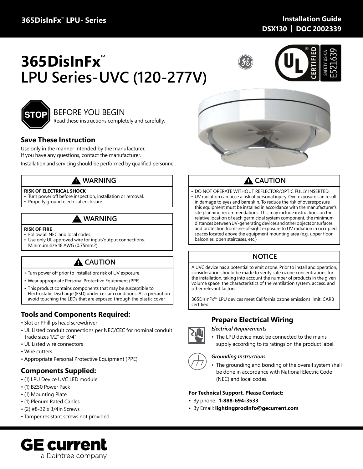## **365DisInFx**™ **LPU- Series**

## **Installation Guide DSX130 | DOC 2002339**

# **365DisInFx**™ **LPU Series-UVC (120-277V)**







## BEFORE YOU BEGIN

Read these instructions completely and carefully.

### **Save These Instruction**

Use only in the manner intended by the manufacturer. If you have any questions, contact the manufacturer.

Installation and servicing should be performed by qualified personnel.

## **WARNING**

### **RISK OF ELECTRICAL SHOCK**

- Turn power off before inspection, installation or removal.
- Properly ground electrical enclosure.

## **WARNING**

### **RISK OF FIRE**

- Follow all NEC and local codes.
- Use only UL approved wire for input/output connections. Minimum size 18 AWG (0.75mm2).

## **A** CAUTION

- Turn power off prior to installation; risk of UV exposure.
- Wear appropriate Personal Protective Equipment (PPE).
- This product contains components that may be susceptible to Electrostatic Discharge (ESD) under certain conditions. As a precaution avoid touching the LEDs that are exposed through the plastic cover.

## **Tools and Components Required:**

- Slot or Phillips head screwdriver
- UL Listed conduit connections per NEC/CEC for nominal conduit trade sizes 1/2" or 3/4"
- UL Listed wire connectors
- Wire cutters
- Appropriate Personal Protective Equipment (PPE)

### **Components Supplied:**

- (1) LPU Device UVC LED module
- (1) BZ50 Power Pack
- (1) Mounting Plate
- (1) Plenum Rated Cables
- (2) #8-32 x 3/4in Screws
- Tamper resistant screws not provided





## **A** CAUTION

- DO NOT OPERATE WITHOUT REFLECTOR/OPTIC FULLY INSERTED.
- UV radiation can pose a risk of personal injury. Overexposure can result in damage to eyes and bare skin. To reduce the risk of overexposure this equipment must be installed in accordance with the manufacturer's site planning recommendations. This may include instructions on the relative location of each germicidal system component, the minimum distances between UV-generating devices and other objects or surfaces, and protection from line-of-sight exposure to UV radiation in occupied spaces located above the equipment mounting area (e.g. upper floor balconies, open staircases, etc.)

## **NOTICE**

A UVC device has a potential to emit ozone. Prior to install and operation, consideration should be made to verify safe ozone concentrations for the installation, taking into account the number of products in the given volume space, the characteristics of the ventilation system, access, and other relevant factors.

365DisInFx™ LPU devices meet California ozone emissions limit: CARB certified.

## **Prepare Electrical Wiring**

### *Electrical Requirements*

• The LPU device must be connected to the mains supply according to its ratings on the product label.

### *Grounding Instructions*

• The grounding and bonding of the overall system shall be done in accordance with National Electric Code (NEC) and local codes.

### **For Technical Support, Please Contact:**

- By phone: **1-888-694-3533**
- By Email: **lightingprodinfo@gecurrent.com**



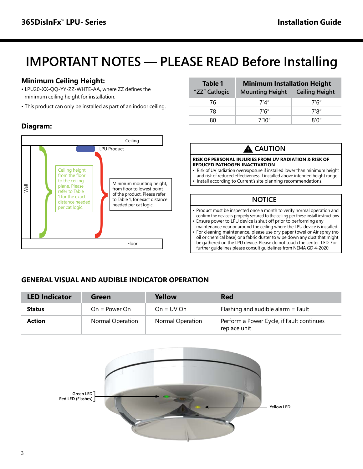# **IMPORTANT NOTES — PLEASE READ Before Installing**

## **Minimum Ceiling Height:**

- LPU20-XX-QQ-YY-ZZ-WHTE-AA, where ZZ defines the minimum ceiling height for installation.
- This product can only be installed as part of an indoor ceiling.

## **Diagram:**



| Table 1       | <b>Minimum Installation Height</b> |                       |  |
|---------------|------------------------------------|-----------------------|--|
| "ZZ" Catlogic | <b>Mounting Height</b>             | <b>Ceiling Height</b> |  |
| 76            | 7'4"                               | 7'6"                  |  |
| 78            | 7'6"                               | 7'8"                  |  |
| ጸበ            | 7'10''                             | ጸ'በ"                  |  |

### **RISK OF PERSONAL INJURIES FROM UV RADIATION & RISK OF REDUCED PATHOGEN INACTIVATION** • Risk of UV radiation overexposure if installed lower than minimum height and risk of reduced effectiveness if installed above intended height range. • Install according to Current's site planning recommendations. **A** CAUTION • Product must be inspected once a month to verify normal operation and confirm the device is properly secured to the ceiling per these install instructions. • Ensure power to LPU device is shut off prior to performing any maintenance near or around the ceiling where the LPU device is installed. • For cleaning maintenance, please use dry paper towel or Air spray (no oil or chemical base) or a fabric duster to wipe down any dust that might be gathered on the LPU device. Please do not touch the center LED. For further guidelines please consult guidelines from NEMA GD 4-2020 **NOTICE**

## **GENERAL VISUAL AND AUDIBLE INDICATOR OPERATION**

| <b>LED Indicator</b> | Green            | Yellow           | <b>Red</b>                                                |
|----------------------|------------------|------------------|-----------------------------------------------------------|
| <b>Status</b>        | $On = Power On$  | $On = UV On$     | Flashing and audible alarm $=$ Fault                      |
| <b>Action</b>        | Normal Operation | Normal Operation | Perform a Power Cycle, if Fault continues<br>replace unit |

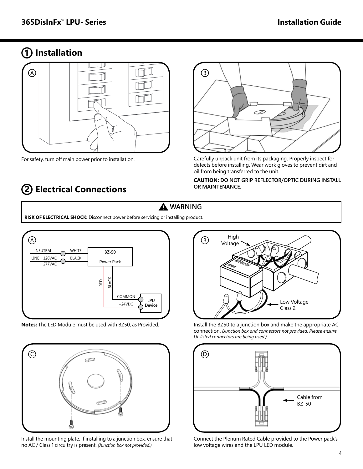## **1 Installation**



For safety, turn off main power prior to installation.

## **2 Electrical Connections**



Carefully unpack unit from its packaging. Properly inspect for defects before installing. Wear work gloves to prevent dirt and oil from being transferred to the unit.

### **CAUTION: DO NOT GRIP REFLECTOR/OPTIC DURING INSTALL OR MAINTENANCE.**

## **WARNING**

**RISK OF ELECTRICAL SHOCK:** Disconnect power before servicing or installing product.



**Notes:** The LED Module must be used with BZ50, as Provided.



Install the mounting plate. If installing to a junction box, ensure that no AC / Class 1 circuitry is present. *(Junction box not provided.)*



Install the BZ50 to a junction box and make the appropriate AC connection. *(Junction box and connectors not provided. Please ensure UL listed connectors are being used.)* 



Connect the Plenum Rated Cable provided to the Power pack's low voltage wires and the LPU LED module.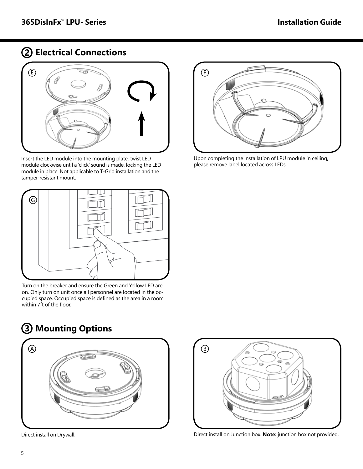## **2 Electrical Connections**



Insert the LED module into the mounting plate, twist LED module clockwise until a 'click' sound is made, locking the LED module in place. Not applicable to T-Grid installation and the tamper-resistant mount.



Turn on the breaker and ensure the Green and Yellow LED are on. Only turn on unit once all personnel are located in the occupied space. Occupied space is defined as the area in a room within 7ft of the floor.





Direct install on Drywall.



Upon completing the installation of LPU module in ceiling, please remove label located across LEDs.



Direct install on Junction box. **Note:** junction box not provided.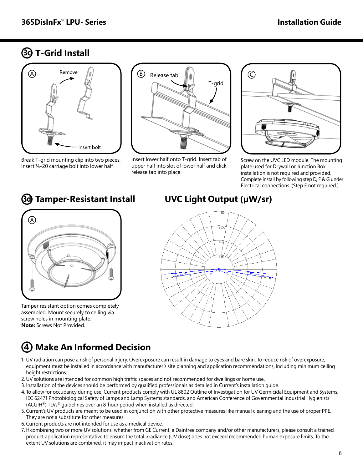## **T-Grid Install 3c**



Break T-grid mounting clip into two pieces. Insert ¼-20 carriage bolt into lower half.

**3d**



Insert lower half onto T-grid. Insert tab of upper half into slot of lower half and click release tab into place.



Screw on the UVC LED module. The mounting plate used for Drywall or Junction Box installation is not required and provided. Complete install by following step D, F & G under Electrical connections. (Step E not required.)



Tamper resistant option comes completely assembled. Mount securely to ceiling via screw holes in mounting plate. **Note:** Screws Not Provided.

## **UVC Light Output (µW/sr)**



## **4 Make An Informed Decision**

- 1. UV radiation can pose a risk of personal injury. Overexposure can result in damage to eyes and bare skin. To reduce risk of overexposure, equipment must be installed in accordance with manufacturer's site planning and application recommendations, including minimum ceiling height restrictions.
- 2.UV solutions are intended for common high traffic spaces and not recommended for dwellings or home use.
- 3. Installation of the devices should be performed by qualified professionals as detailed in Current's installation guide.
- 4. To allow for occupancy during use, Current products comply with UL 8802 Outline of Investigation for UV Germicidal Equipment and Systems, IEC 62471 Photobiological Safety of Lamps and Lamp Systems standards, and American Conference of Governmental Industrial Hygienists (ACGIH®) TLVs® guidelines over an 8-hour period when installed as directed.
- 5. Current's UV products are meant to be used in conjunction with other protective measures like manual cleaning and the use of proper PPE. They are not a substitute for other measures.
- 6. Current products are not intended for use as a medical device.
- 7. If combining two or more UV solutions, whether from GE Current, a Daintree company and/or other manufacturers, please consult a trained product application representative to ensure the total irradiance (UV dose) does not exceed recommended human exposure limits. To the extent UV solutions are combined, it may impact inactivation rates.